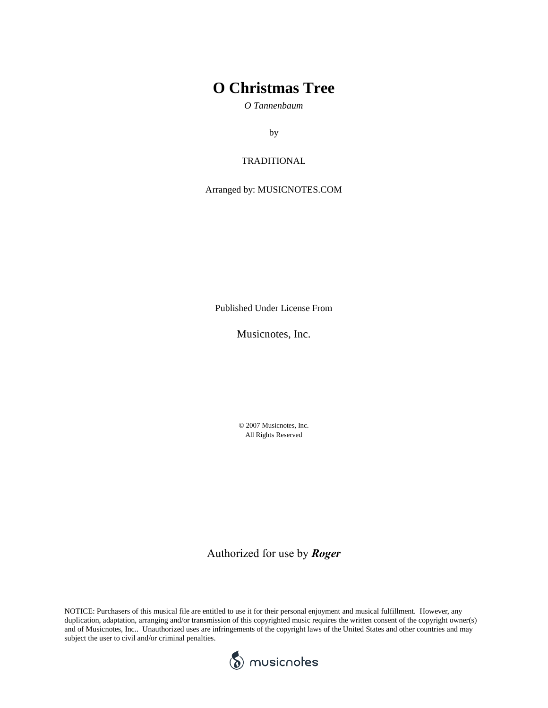## **O Christmas Tree**

*O Tannenbaum*

by

### TRADITIONAL

Arranged by: MUSICNOTES.COM

Published Under License From

Musicnotes, Inc.

© 2007 Musicnotes, Inc. All Rights Reserved

Authorized for use by *Roger*

NOTICE: Purchasers of this musical file are entitled to use it for their personal enjoyment and musical fulfillment. However, any duplication, adaptation, arranging and/or transmission of this copyrighted music requires the written consent of the copyright owner(s) and of Musicnotes, Inc.. Unauthorized uses are infringements of the copyright laws of the United States and other countries and may subject the user to civil and/or criminal penalties.

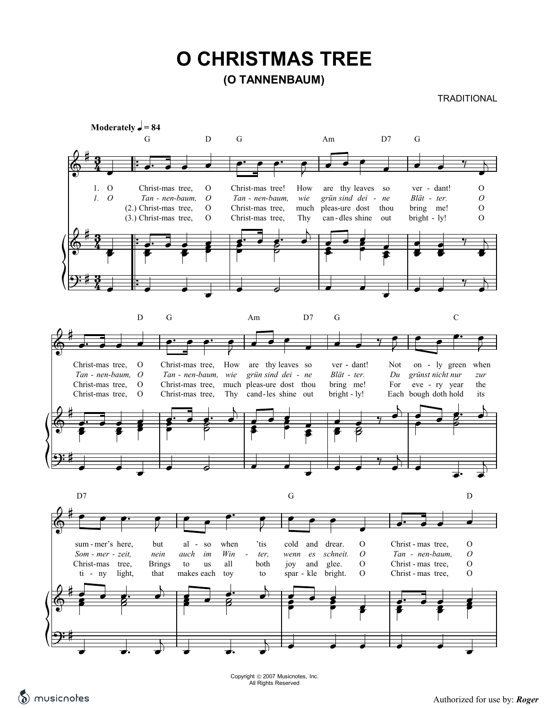# **(O TANNENBAUM) O CHRISTMAS TREE**

### **TRADITIONAL**



All Rights Reserved.<br>The music of the by: *Roger* Authorized for use by: *Roger* 

Copyright 2007 Musicnotes, Inc. All Rights Reserved

Authorized for use by: *Roger*